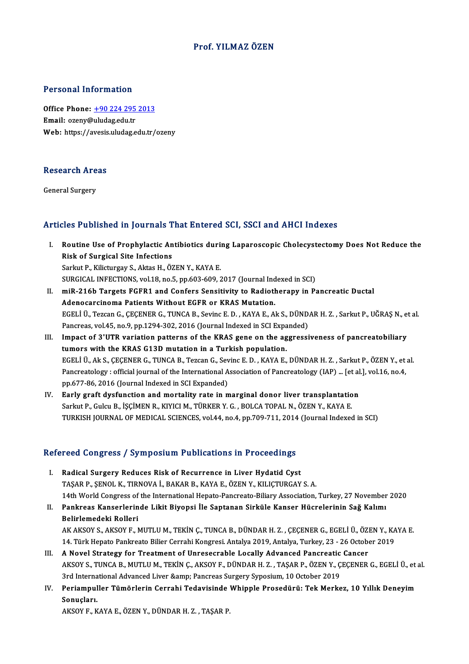### Prof. YILMAZÖZEN

### Personal Information

Personal Information<br>Office Phone: <u>+90 224 295 2013</u><br>Email: exeny@uludas.edu.tr Processing information<br>Office Phone: <u>+90 224 295</u><br>Email: ozeny@uludag.edu.tr Email: ozeny@uludag.edu.tr<br>Web: https://a[vesis.uludag.edu.tr/](tel:+90 224 295 2013)ozeny

# research<br>Research Areas R<mark>esearch Are</mark><br>General Surgery

# Articles Published in Journals That Entered SCI, SSCI and AHCI Indexes

- rticles Published in Journals That Entered SCI, SSCI and AHCI Indexes<br>I. Routine Use of Prophylactic Antibiotics during Laparoscopic Cholecystectomy Does Not Reduce the<br>Pick of Surgical Site Infostions Routine Use of Prophylactic An<br>Risk of Surgical Site Infections<br>Sarlut B. Kilicturgev S. Altee H. Ö2 Routine Use of Prophylactic Antibiotics duri:<br>Risk of Surgical Site Infections<br>Sarkut P., Kilicturgay S., Aktas H., ÖZEN Y., KAYA E.<br>SURCICAL INFECTIONS vol 19 no 5 nn 603 609 3 Risk of Surgical Site Infections<br>Sarkut P., Kilicturgay S., Aktas H., ÖZEN Y., KAYA E.<br>SURGICAL INFECTIONS, vol.18, no.5, pp.603-609, 2017 (Journal Indexed in SCI)<br>miP. 216b Tangets ECER1 and Confore Sonsitivity to Pediath
- Sarkut P., Kilicturgay S., Aktas H., ÖZEN Y., KAYA E.<br>SURGICAL INFECTIONS, vol.18, no.5, pp.603-609, 2017 (Journal Indexed in SCI)<br>II. miR-216b Targets FGFR1 and Confers Sensitivity to Radiotherapy in Pancreatic Ductal<br>Ade SURGICAL INFECTIONS, vol.18, no.5, pp.603-609, 2017 (Journal Ind<br>miR-216b Targets FGFR1 and Confers Sensitivity to Radioth<br>Adenocarcinoma Patients Without EGFR or KRAS Mutation.<br>ECELLÜ TSESOR G. CECENER G. TUNGA B. Sovins miR-216b Targets FGFR1 and Confers Sensitivity to Radiotherapy in Pancreatic Ductal<br>Adenocarcinoma Patients Without EGFR or KRAS Mutation.<br>EGELİ Ü., Tezcan G., ÇEÇENER G., TUNCA B., Sevinc E. D. , KAYA E., Ak S., DÜNDAR H. Adenocarcinoma Patients Without EGFR or KRAS Mutation.<br>EGELİ Ü., Tezcan G., ÇEÇENER G., TUNCA B., Sevinc E. D. , KAYA E., Ak S., DÜND.<br>Pancreas, vol.45, no.9, pp.1294-302, 2016 (Journal Indexed in SCI Expanded)<br>Impact of 2 EGELİ Ü., Tezcan G., ÇEÇENER G., TUNCA B., Sevinc E. D., KAYA E., Ak S., DÜNDAR H. Z., Sarkut P., UĞRAŞ N., et<br>Pancreas, vol.45, no.9, pp.1294-302, 2016 (Journal Indexed in SCI Expanded)<br>III. Impact of 3'UTR variation patt
- Pancreas, vol.45, no.9, pp.1294-302, 2016 (Journal Indexed in SCI Exparent Indexed in SCI Exparent Indexed in SCI Exparent Indexed in SCI Exparent Indexed in SCI Exparent Indexed in the KRAS G13D mutation in a Turkish popu Impact of 3'UTR variation patterns of the KRAS gene on the aggressiveness of pancreatobiliary<br>tumors with the KRAS G13D mutation in a Turkish population.<br>EGELİ Ü., Ak S., ÇEÇENER G., TUNCA B., Tezcan G., Sevinc E. D. , KAY tumors with the KRAS G13D mutation in a Turkish population.<br>EGELI Ü., Ak S., ÇEÇENER G., TUNCA B., Tezcan G., Sevinc E. D. , KAYA E., DÜNDAR H. Z. , Sarkut P., ÖZEN Y., et al.<br>Pancreatology : official journal of the Intern pp.677-86, 2016 (Journal Indexed in SCI Expanded)
- IV. Early graft dysfunction and mortality rate in marginal donor liver transplantation Sarkut P., Gulcu B., İŞÇİMEN R., KIYICI M., TÜRKER Y. G., BOLCA TOPAL N., ÖZEN Y., KAYA E. TURKISH JOURNAL OF MEDICAL SCIENCES, vol.44, no.4, pp.709-711, 2014 (Journal Indexed in SCI)

### Refereed Congress / Symposium Publications in Proceedings

- I. Radical Surgery Reduces Risk of Recurrence in Liver Hydatid Cyst TAŞARP.,ŞENOLK.,TIRNOVAİ.,BAKARB.,KAYAE.,ÖZENY.,KILIÇTURGAYS.A. Radical Surgery Reduces Risk of Recurrence in Liver Hydatid Cyst<br>TAŞAR P., ŞENOL K., TIRNOVA İ., BAKAR B., KAYA E., ÖZEN Y., KILIÇTURGAY S. A.<br>14th World Congress of the International Hepato-Pancreato-Biliary Association, TAŞAR P., ŞENOL K., TIRNOVA İ., BAKAR B., KAYA E., ÖZEN Y., KILIÇTURGAY S. A.<br>14th World Congress of the International Hepato-Pancreato-Biliary Association, Turkey, 27 November<br>II. Pankreas Kanserlerinde Likit Biyopsi
- **14th World Congress of<br>Pankreas Kanserlerin<br>Belirlemedeki Rolleri<br>AV AVSOV S-AVSOV E-N** Pankreas Kanserlerinde Likit Biyopsi İle Saptanan Sirküle Kanser Hücrelerinin Sağ Kalımı<br>Belirlemedeki Rolleri<br>AK AKSOY S., AKSOY F., MUTLU M., TEKİN Ç., TUNCA B., DÜNDAR H. Z. , ÇEÇENER G., EGELİ Ü., ÖZEN Y., KAYA E.<br>14. Belirlemedeki Rolleri<br>AK AKSOY S., AKSOY F., MUTLU M., TEKİN Ç., TUNCA B., DÜNDAR H. Z. , ÇEÇENER G., EGELİ Ü., ÖZEN Y., KA<br>14. Türk Hepato Pankreato Bilier Cerrahi Kongresi. Antalya 2019, Antalya, Turkey, 23 - 26 October IN AK AKSOY S., AKSOY F., MUTLU M., TEKİN Ç., TUNCA B., DÜNDAR H. Z., ÇEÇENER G., EGELİ Ü., ÖZI<br>14. Türk Hepato Pankreato Bilier Cerrahi Kongresi. Antalya 2019, Antalya, Turkey, 23 - 26 October<br>11. A Novel Strategy for Tre
- 14. Türk Hepato Pankreato Bilier Cerrahi Kongresi. Antalya 2019, Antalya, Turkey, 23 26 October 2019<br>A Novel Strategy for Treatment of Unresecrable Locally Advanced Pancreatic Cancer<br>AKSOY S., TUNCA B., MUTLU M., TEKİN Ç A Novel Strategy for Treatment of Unresecrable Locally Advanced Pancreatic<br>AKSOY S., TUNCA B., MUTLU M., TEKİN Ç., AKSOY F., DÜNDAR H. Z. , TAŞAR P., ÖZEN Y., Ç<br>3rd International Advanced Liver &amp; Pancreas Surgery Sypos AKSOY S., TUNCA B., MUTLU M., TEKİN Ç., AKSOY F., DÜNDAR H. Z. , TAŞAR P., ÖZEN Y., ÇEÇENER G., EGELİ Ü., et<br>3rd International Advanced Liver &amp; Pancreas Surgery Syposium, 10 October 2019<br>IV. Periampuller Tümörlerin Cer
- 3rd International Advanced Liver & Pancreas Surgery Syposium, 10 October 2019<br>IV. Periampuller Tümörlerin Cerrahi Tedavisinde Whipple Prosedürü: Tek Merkez, 10 Yıllık Deneyim<br>Sonuçları.

AKSOYF.,KAYAE.,ÖZENY.,DÜNDARH.Z. ,TAŞARP.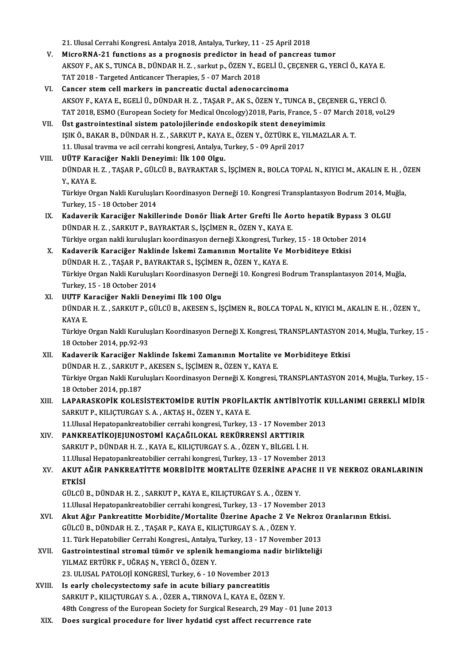21.UlusalCerrahiKongresi.Antalya 2018,Antalya,Turkey,11 -25April2018

- V. MicroRNA-21 functions as a prognosis predictor in head of pancreas tumor 21. Ulusal Cerrahi Kongresi. Antalya 2018, Antalya, Turkey, 11 - 25 April 2018<br>MicroRNA-21 functions as a prognosis predictor in head of pancreas tumor<br>AKSOY F., AK S., TUNCA B., DÜNDAR H. Z. , sarkut p., ÖZEN Y., EGELİ Ü. MicroRNA-21 functions as a prognosis predictor in hea<br>AKSOY F., AK S., TUNCA B., DÜNDAR H. Z. , sarkut p., ÖZEN Y., EO<br>TAT 2018 - Targeted Anticancer Therapies, 5 - 07 March 2018<br>Cancer stam sell markars in nongreatie dust TAT 2018 - Targeted Anticancer Therapies, 5 - 07 March 2018<br>VI. Cancer stem cell markers in pancreatic ductal adenocarcinoma
- TAT 2018 Targeted Anticancer Therapies, 5 07 March 2018<br>Cancer stem cell markers in pancreatic ductal adenocarcinoma<br>AKSOY F., KAYA E., EGELİ Ü., DÜNDAR H. Z. , TAŞAR P., AK S., ÖZEN Y., TUNCA B., ÇEÇENER G., YERCİ Ö.<br> Cancer stem cell markers in pancreatic ductal adenocarcinoma<br>AKSOY F., KAYA E., EGELİ Ü., DÜNDAR H. Z. , TAŞAR P., AK S., ÖZEN Y., TUNCA B., ÇEÇENER G., YERCİ Ö.<br>TAT 2018, ESMO (European Society for Medical Oncology)2018, AKSOY F., KAYA E., EGELI Ü., DÜNDAR H. Z., TAŞAR P., AK S., ÖZEN Y., TUNCA B., ÇEO<br>TAT 2018, ESMO (European Society for Medical Oncology) 2018, Paris, France, 5 - 0<br>VII. Üst gastrointestinal sistem patolojilerinde endoskop
- TAT 2018, ESMO (European Society for Medical Oncology)2018, Paris, France, 5 07 March 2018, vol.29<br>Üst gastrointestinal sistem patolojilerinde endoskopik stent deneyimimiz<br>ISIK Ö., BAKAR B., DÜNDAR H. Z. , SARKUT P., KAY Üst gastrointestinal sistem patolojilerinde endoskopik stent deneyir<br>151K Ö., BAKAR B., DÜNDAR H. Z. , SARKUT P., KAYA E., ÖZEN Y., ÖZTÜRK E., Y.<br>11. Ulusal travma ve acil cerrahi kongresi, Antalya, Turkey, 5 - 09 April 20 IŞIK Ö., BAKAR B., DÜNDAR H. Z. , SARKUT P., KAYA<br>11. Ulusal travma ve acil cerrahi kongresi, Antalya, J<br>VIII. UÜTF Karaciğer Nakli Deneyimi: İlk 100 Olgu.<br>DÜNDAR H. Z., TASAR R. CÜLCÜ R. RAYRAKTAR S.

### UÜTF Karaciğer Nakli Deneyimi: İlk 100 Olgu.

DÜNDAR H. Z. , TAŞAR P., GÜLCÜ B., BAYRAKTAR S., İŞÇİMEN R., BOLCA TOPAL N., KIYICI M., AKALIN E. H. , ÖZEN<br>Y., KAYA E. DÜNDAR H. Z. , TAŞAR P., GÜLCÜ B., BAYRAKTAR S., İŞÇİMEN R., BOLCA TOPAL N., KIYICI M., AKALIN E. H. , Ö<br>Y., KAYA E.<br>Türkiye Organ Nakli Kuruluşları Koordinasyon Derneği 10. Kongresi Transplantasyon Bodrum 2014, Muğla,<br>Tur

Turkey,15 -18October 2014 Türkiye Organ Nakli Kuruluşları Koordinasyon Derneği 10. Kongresi Transplantasyon Bodrum 2014, Mu<br>Turkey, 15 - 18 October 2014<br>IX. Kadaverik Karaciğer Nakillerinde Donör İliak Arter Grefti İle Aorto hepatik Bypass 3 OLGU<br>D

# Turkey, 15 - 18 October 2014<br>Kadaverik Karaciğer Nakillerinde Donör İliak Arter Grefti İle Ao<br>DÜNDAR H. Z. , SARKUT P., BAYRAKTAR S., İŞÇİMEN R., ÖZEN Y., KAYA E.<br>Türkiye evgen nakli kuruluşları keerdinesyen derneği Y keng Kadaverik Karaciğer Nakillerinde Donör İliak Arter Grefti İle Aorto hepatik Bypass 3<br>DÜNDAR H. Z. , SARKUT P., BAYRAKTAR S., İŞÇİMEN R., ÖZEN Y., KAYA E.<br>Türkiye organ nakli kuruluşları koordinasyon derneği X.kongresi, Tur DÜNDAR H. Z. , SARKUT P., BAYRAKTAR S., İŞÇİMEN R., ÖZEN Y., KAYA E.<br>Türkiye organ nakli kuruluşları koordinasyon derneği X.kongresi, Turkey, 15 - 18 October 2014<br>X. Kadaverik Karaciğer Naklinde İskemi Zamanının Mortal

# Türkiye organ nakli kuruluşları koordinasyon derneği X.kongresi, Turk<mark>.</mark><br>Kadaverik Karaciğer Naklinde İskemi Zamanının Mortalite Ve N<br>DÜNDAR H. Z. , TAŞAR P., BAYRAKTAR S., İŞÇİMEN R., ÖZEN Y., KAYA E.<br>Türkiye Organ Nakli Türkiye Organ Nakli Kuruluşları Koordinasyon Derneği 10. Kongresi Bodrum Transplantasyon 2014, Muğla,<br>Turkey, 15 - 18 October 2014 DÜNDAR H. Z. , TAŞAR P., BAY<br>Türkiye Organ Nakli Kuruluşla<br>Turkey, 15 - 18 October 2014<br>ULTEE Karasiğar Nakli Dans Türkiye Organ Nakli Kuruluşları Koordinasyon Der<br>Turkey, 15 - 18 October 2014<br>XI. UUTF Karaciğer Nakli Deneyimi İlk 100 Olgu<br>DÜNDAR H. Z. SARKUTR CÜLCÜR AKESENS İS

## Turkey, 15 - 18 October 2014<br>**UUTF Karaciğer Nakli Deneyimi Ilk 100 Olgu**<br>DÜNDAR H. Z. , SARKUT P., GÜLCÜ B., AKESEN S., İŞÇİMEN R., BOLCA TOPAL N., KIYICI M., AKALIN E. H. , ÖZEN Y.,<br>KAVA F **UUTF K<br>DÜNDAI<br>KAYA E.**<br>Türkiye DÜNDAR H. Z. , SARKUT P., GÜLCÜ B., AKESEN S., İŞÇİMEN R., BOLCA TOPAL N., KIYICI M., AKALIN E. H. , ÖZEN Y.,<br>KAYA E.<br>Türkiye Organ Nakli Kuruluşları Koordinasyon Derneği X. Kongresi, TRANSPLANTASYON 2014, Muğla, Turkey, 1 KAYA E.<br>Türkiye Organ Nakli Kuruluşları Koordinasyon Derneği X. Kongresi, TRANSPLANTASYON 2014, Muğla, Turkey, 15 -<br>18 October 2014, pp.92-93

## XII. Kadaverik Karaciğer Naklinde Iskemi Zamanının Mortalite ve Morbiditeye Etkisi 18 October 2014, pp.92-93<br>Kadaverik Karaciğer Naklinde Iskemi Zamanının Mortalite v<br>DÜNDAR H. Z. , SARKUT P., AKESEN S., İŞÇİMEN R., ÖZEN Y., KAYA E.<br>Türkiye Organ Nakli Kurulusları Keendinesyan Derneği Y. Kangresi Türkiye Organ Nakli Kuruluşları Koordinasyon Derneği X. Kongresi, TRANSPLANTASYON 2014, Muğla, Turkey, 15 -<br>18 October 2014, pp.187 DÜNDAR H. Z. , SARKUT P<br>Türkiye Organ Nakli Kuru<br>18 October 2014, pp.187<br>LABARASKORİK KOLES XI I. LAPARASKOPİK KOLESİSTEKTOMİDE RUTİN PROFİLAKTİK ANTİBİYOTİK KULLANIMI GEREKLİMİDİR

# 18 October 2014, pp.187<br>LAPARASKOPİK KOLESİSTEKTOMİDE RUTİN PROFİL*I*<br>SARKUT P., KILIÇTURGAY S. A. , AKTAŞ H., ÖZEN Y., KAYA E.<br>11 Hiveel Henstananirestabilise sarrabi kansresi Turkey. 1 LAPARASKOPİK KOLESİSTEKTOMİDE RUTİN PROFİLAKTİK ANTİBİYOTİK K<br>SARKUT P., KILIÇTURGAY S. A. , AKTAŞ H., ÖZEN Y., KAYA E.<br>11.Ulusal Hepatopankreatobilier cerrahi kongresi, Turkey, 13 - 17 November 2013<br>PANKREATİKOIEUINOSTOMİ

SARKUT P., KILIÇTURGAY S. A. , AKTAŞ H., ÖZEN Y., KAYA E.<br>11.Ulusal Hepatopankreatobilier cerrahi kongresi, Turkey, 13 - 17 November<br>XIV. PANKREATİKOJEJUNOSTOMİ KAÇAĞILOKAL REKÜRRENSİ ARTTIRIR<br>5 ADKUT P. DÜNDAR H. 7 - KAYA 11.Ulusal Hepatopankreatobilier cerrahi kongresi, Turkey, 13 - 17 November<br>PANKREATİKOJEJUNOSTOMİ KAÇAĞILOKAL REKÜRRENSİ ARTTIRIR<br>SARKUT P., DÜNDAR H. Z. , KAYA E., KILIÇTURGAY S. A. , ÖZEN Y., BİLGEL İ. H.<br>11 Hivesi Henst SARKUT P., DÜNDAR H. Z., KAYA E., KILIÇTURGAY S. A., ÖZEN Y., BİLGEL İ. H.<br>11.Ulusal Hepatopankreatobilier cerrahi kongresi, Turkey, 13 - 17 November 2013 SARKUT P., DÜNDAR H. Z. , KAYA E., KILIÇTURGAY S. A. , ÖZEN Y., BİLGEL İ. H.<br>11.Ulusal Hepatopankreatobilier cerrahi kongresi, Turkey, 13 - 17 November 2013<br>XV. AKUT AĞIR PANKREATİTTE MORBİDİTE MORTALİTE ÜZERİNE APACHE

# 11.Ulusa<br>**AKUT** *A***<br>ETKİSİ**<br>GÜLCÜ AKUT AĞIR PANKREATİTTE MORBİDİTE MORTALİTE ÜZERİNE APA<br>ETKİSİ<br>GÜLCÜ B., DÜNDAR H. Z. , SARKUT P., KAYA E., KILIÇTURGAY S. A. , ÖZEN Y.<br>11 Husal Handtanankratabiliar carrabi kangrasi Turkay 12, , 17 Navamb

ETKİSİ<br>GÜLCÜ B., DÜNDAR H. Z. , SARKUT P., KAYA E., KILIÇTURGAY S. A. , ÖZEN Y.<br>11.Ulusal Hepatopankreatobilier cerrahi kongresi, Turkey, 13 - 17 November 2013<br>Akut Ağır Pankreatitte Marhidite (Martalite Üzerine Anasha 3 V

- GÜLCÜ B., DÜNDAR H. Z. , SARKUT P., KAYA E., KILIÇTURGAY S. A. , ÖZEN Y.<br>11.Ulusal Hepatopankreatobilier cerrahi kongresi, Turkey, 13 17 November 2013<br>XVI. Akut Ağır Pankreatitte Morbidite/Mortalite Üzerine Apache 2 11.Ulusal Hepatopankreatobilier cerrahi kongresi, Turkey, 13 - 17 Novem<br>Akut Ağır Pankreatitte Morbidite/Mortalite Üzerine Apache 2 Ve<br>GÜLCÜ B., DÜNDAR H. Z. , TAŞAR P., KAYA E., KILIÇTURGAY S. A. , ÖZEN Y.<br>11. Türk Hapato Akut Ağır Pankreatitte Morbidite/Mortalite Üzerine Apache 2 Ve Nekroz<br>GÜLCÜ B., DÜNDAR H. Z. , TAŞAR P., KAYA E., KILIÇTURGAY S. A. , ÖZEN Y.<br>11. Türk Hepatobilier Cerrahi Kongresi., Antalya, Turkey, 13 - 17 November 2013<br> GÜLCÜ B., DÜNDAR H. Z. , TAŞAR P., KAYA E., KILIÇTURGAY S. A. , ÖZEN Y.<br>11. Türk Hepatobilier Cerrahi Kongresi., Antalya, Turkey, 13 - 17 November 2013<br>XVII. Gastrointestinal stromal tümör ve splenik hemangioma nadir b
- YILMAZ ERTÜRK F., UĞRAŞ N., YERCİÖ., ÖZEN Y. Gastrointestinal stromal tümör ve splenik hemangioma na<br>YILMAZ ERTÜRK F., UĞRAŞ N., YERCİ Ö., ÖZEN Y.<br>23. ULUSAL PATOLOJİ KONGRESİ, Turkey, 6 - 10 November 2013<br>Is early shologyatastamy safa in aqyta biliary paparaatitis.
- XVIII. Is early cholecystectomy safe in acute biliary pancreatitis<br>SARKUT P., KILICTURGAY S. A., ÖZER A., TIRNOVA İ., KAYA E., ÖZEN Y. 23. ULUSAL PATOLOJİ KONGRESİ, Turkey, 6 - 10 November 2013<br>Is early cholecystectomy safe in acute biliary pancreatitis<br>SARKUT P., KILIÇTURGAY S. A. , ÖZER A., TIRNOVA İ., KAYA E., ÖZEN Y.<br>48th Congress of the European Soci 48th Congress of the European Society for Surgical Research, 29 May - 01 June 2013
- XIX. Does surgical procedure for liver hydatid cyst affect recurrence rate